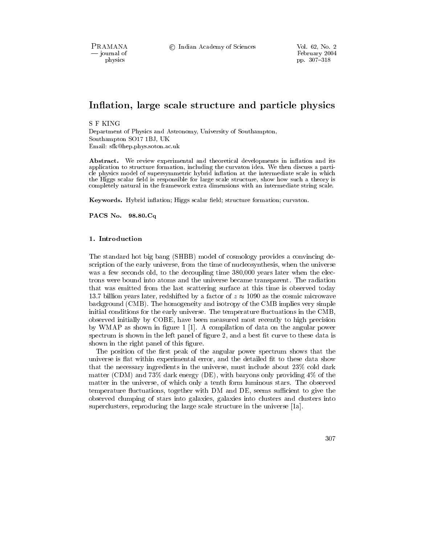PRAMANA - journal of physics

© Indian Academy of Sciences

# Inflation, large scale structure and particle physics

**S F KING** 

Department of Physics and Astronomy, University of Southampton, Southampton SO17 1BJ, UK Email: sfk@hep.phys.soton.ac.uk

**Abstract.** We review experimental and theoretical developments in inflation and its application to structure formation, including the curvaton idea. We then discuss a particle physics model of supersymmetric hybrid inflation at the intermediate scale in which the Higgs scalar field is responsible for large scale structure, show how such a theory is completely natural in the framework extra dimensions with an intermediate string scale.

Keywords. Hybrid inflation; Higgs scalar field; structure formation; curvaton.

PACS No. 98.80.Cq

### 1. Introduction

The standard hot big bang (SHBB) model of cosmology provides a convincing description of the early universe, from the time of nucleosynthesis, when the universe was a few seconds old, to the decoupling time 380,000 years later when the electrons were bound into atoms and the universe became transparent. The radiation that was emitted from the last scattering surface at this time is observed today 13.7 billion years later, redshifted by a factor of  $z \approx 1090$  as the cosmic microwave background (CMB). The homogeneity and isotropy of the CMB implies very simple initial conditions for the early universe. The temperature fluctuations in the CMB, observed initially by COBE, have been measured most recently to high precision by WMAP as shown in figure 1 [1]. A compilation of data on the angular power spectrum is shown in the left panel of figure 2, and a best fit curve to these data is shown in the right panel of this figure.

The position of the first peak of the angular power spectrum shows that the universe is flat within experimental error, and the detailed fit to these data show that the necessary ingredients in the universe, must include about 23% cold dark matter (CDM) and 73% dark energy (DE), with baryons only providing  $4\%$  of the matter in the universe, of which only a tenth form luminous stars. The observed temperature fluctuations, together with DM and DE, seems sufficient to give the observed clumping of stars into galaxies, galaxies into clusters and clusters into superclusters, reproducing the large scale structure in the universe [1a].

307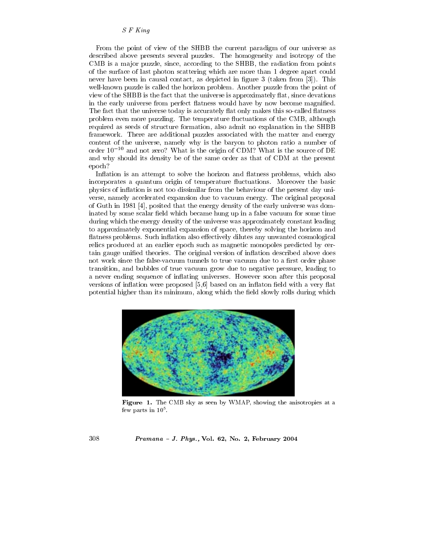From the point of view of the SHBB the current paradigm of our universe as described above presents several puzzles. The homogeneity and isotropy of the CMB is a major puzzle, since, according to the SHBB, the radiation from points of the surface of last photon scattering which are more than 1 degree apart could never have been in causal contact, as depicted in figure 3 (taken from [3]). This well-known puzzle is called the horizon problem. Another puzzle from the point of view of the SHBB is the fact that the universe is approximately flat, since devations in the early universe from perfect flatness would have by now become magnified. The fact that the universe today is accurately flat only makes this so-called flatness problem even more puzzling. The temperature fluctuations of the CMB, although required as seeds of structure formation, also admit no explanation in the SHBB framework. There are additional puzzles associated with the matter and energy content of the universe, namely why is the baryon to photon ratio a number of order  $10^{-10}$  and not zero? What is the origin of CDM? What is the source of DE and why should its density be of the same order as that of CDM at the present epoch?

Inflation is an attempt to solve the horizon and flatness problems, which also incorporates a quantum origin of temperature fluctuations. Moreover the basic physics of inflation is not too dissimilar from the behaviour of the present day universe, namely accelerated expansion due to vacuum energy. The original proposal of Guth in 1981 [4], posited that the energy density of the early universe was dominated by some scalar field which became hung up in a false vacuum for some time during which the energy density of the universe was approximately constant leading to approximately exponential expansion of space, thereby solving the horizon and flatness problems. Such inflation also effectively dilutes any unwanted cosmological relics produced at an earlier epoch such as magnetic monopoles predicted by certain gauge unified theories. The original version of inflation described above does not work since the false-vacuum tunnels to true vacuum due to a first order phase transition, and bubbles of true vacuum grow due to negative pressure, leading to a never ending sequence of inflating universes. However soon after this proposal versions of inflation were proposed [5,6] based on an inflation field with a very flat potential higher than its minimum, along which the field slowly rolls during which



Figure 1. The CMB sky as seen by WMAP, showing the anisotropies at a few parts in  $10<sup>5</sup>$ .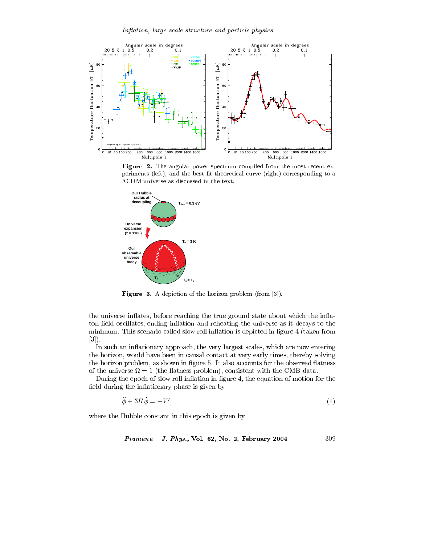

Figure 2. The angular power spectrum compiled from the most recent experiments (left), and the best fit theoretical curve (right) corresponding to a ACDM universe as discussed in the text.



**Figure 3.** A depiction of the horizon problem (from [3]).

the universe inflates, before reaching the true ground state about which the inflaton field oscillates, ending inflation and reheating the universe as it decays to the minimum. This scenario called slow roll inflation is depicted in figure 4 (taken from  $[3]$ .

In such an inflationary approach, the very largest scales, which are now entering the horizon, would have been in causal contact at very early times, thereby solving the horizon problem, as shown in figure 5. It also accounts for the observed flatness of the universe  $\Omega = 1$  (the flatness problem), consistent with the CMB data.

During the epoch of slow roll inflation in figure 4, the equation of motion for the field during the inflationary phase is given by

$$
\ddot{\phi} + 3H\dot{\phi} = -V',\tag{1}
$$

where the Hubble constant in this epoch is given by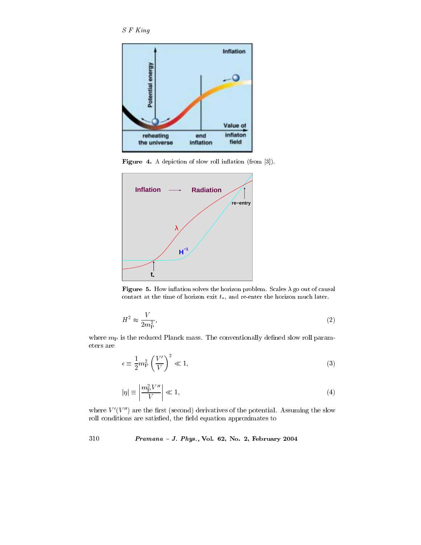$S\mathrel{F} King$ 



Figure 4. A depiction of slow roll inflation (from [3]).



Figure 5. How inflation solves the horizon problem. Scales  $\lambda$  go out of causal contact at the time of horizon exit  $t_*$ , and re-enter the horizon much later.

$$
H^2 \approx \frac{V}{2m_{\rm P}^2},\tag{2}
$$

where  $m_P$  is the reduced Planck mass. The conventionally defined slow roll param $et\,ers$  are

$$
\epsilon \equiv \frac{1}{2} m_{\rm P}^2 \left(\frac{V'}{V}\right)^2 \ll 1,\tag{3}
$$

$$
|\eta| \equiv \left| \frac{m_{\rm P}^2 V''}{V} \right| \ll 1,\tag{4}
$$

where  $V'(V'')$  are the first (second) derivatives of the potential. Assuming the slow roll conditions are satisfied, the field equation approximates to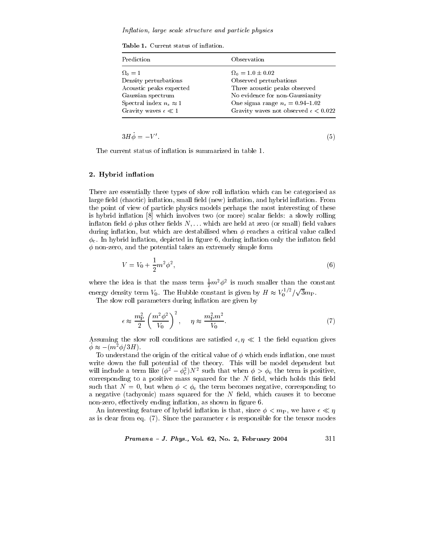### Inflation, large scale structure and particle physics

Table 1. Current status of inflation.

| Observation                                                                                                                                                                                                   |
|---------------------------------------------------------------------------------------------------------------------------------------------------------------------------------------------------------------|
| $\Omega_0 = 1.0 \pm 0.02$<br>Observed perturbations<br>Three acoustic peaks observed<br>No evidence for non-Gaussianity<br>One sigma range $n_s = 0.94-1.02$<br>Gravity waves not observed $\epsilon < 0.022$ |
|                                                                                                                                                                                                               |

$$
3H\dot{\phi} = -V'.
$$

The current status of inflation is summarized in table 1.

### 2. Hybrid inflation

There are essentially three types of slow roll inflation which can be categorised as large field (chaotic) inflation, small field (new) inflation, and hybrid inflation. From the point of view of particle physics models perhaps the most interesting of these is hybrid inflation [8] which involves two (or more) scalar fields: a slowly rolling inflaton field  $\phi$  plus other fields  $N, \ldots$  which are held at zero (or small) field values during inflation, but which are destabilised when  $\phi$  reaches a critical value called  $\phi_c$ . In hybrid inflation, depicted in figure 6, during inflation only the inflaton field  $\phi$  non-zero, and the potential takes an extremely simple form

$$
V = V_0 + \frac{1}{2}m^2\phi^2,
$$
\t(6)

where the idea is that the mass term  $\frac{1}{2}m^2\phi^2$  is much smaller than the constant energy density term  $V_0$ . The Hubble constant is given by  $H \approx V_0^{1/2}/\sqrt{3}m_P$ .

The slow roll parameters during inflation are given by

$$
\epsilon \approx \frac{m_{\rm P}^2}{2} \left( \frac{m^2 \phi^2}{V_0} \right)^2, \quad \eta \approx \frac{m_{\rm P}^2 m^2}{V_0}.
$$
 (7)

Assuming the slow roll conditions are satisfied  $\epsilon, \eta \ll 1$  the field equation gives  $\phi \approx -(m^2\phi/3H).$ 

To understand the origin of the critical value of  $\phi$  which ends inflation, one must write down the full potential of the theory. This will be model dependent but will include a term like  $(\phi^2 - \phi_c^2)N^2$  such that when  $\phi > \phi_c$  the term is positive, corresponding to a positive mass squared for the  $N$  field, which holds this field such that  $N = 0$ , but when  $\phi < \phi_c$  the term becomes negative, corresponding to a negative (tachyonic) mass squared for the  $N$  field, which causes it to become non-zero, effectively ending inflation, as shown in figure 6.

An interesting feature of hybrid inflation is that, since  $\phi < m_P$ , we have  $\epsilon \ll n$ as is clear from eq. (7). Since the parameter  $\epsilon$  is responsible for the tensor modes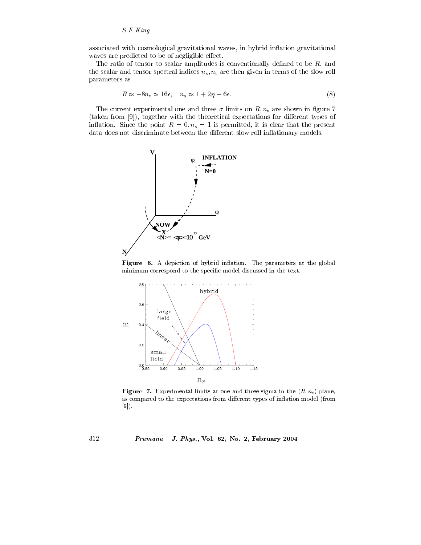# $S$   $F$   $King$

associated with cosmological gravitational waves, in hybrid inflation gravitational waves are predicted to be of negligible effect.

The ratio of tensor to scalar amplitudes is conventionally defined to be  $R$ , and the scalar and tensor spectral indices  $n_s$ ,  $n_t$  are then given in terms of the slow roll parameters as

$$
R \approx -8n_{\rm t} \approx 16\epsilon, \quad n_{\rm s} \approx 1 + 2\eta - 6\epsilon. \tag{8}
$$

The current experimental one and three  $\sigma$  limits on R,  $n_s$  are shown in figure 7 (taken from [9]), together with the theoretical expectations for different types of inflation. Since the point  $R = 0, n_s = 1$  is permitted, it is clear that the present data does not discriminate between the different slow roll inflationary models.



Figure 6. A depiction of hybrid inflation. The parameters at the global minimum correspond to the specific model discussed in the text.



**Figure 7.** Experimental limits at one and three sigma in the  $(R, n_s)$  plane, as compared to the expectations from different types of inflation model (from  $[9]$ .

Pramana - J. Phys., Vol. 62, No. 2, February 2004

312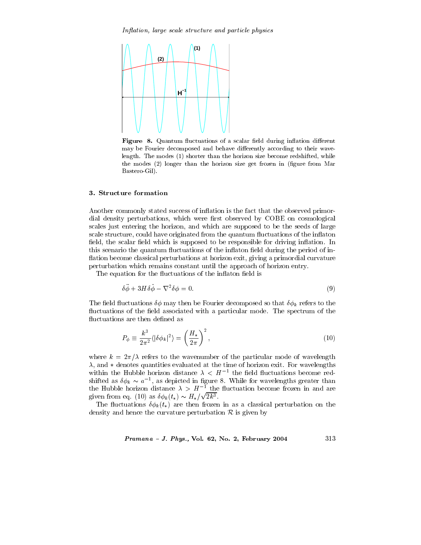Inflation, large scale structure and particle physics



**Figure** 8. Quantum fluctuations of a scalar field during inflation different may be Fourier decomposed and behave differently according to their wavelength. The modes (1) shorter than the horizon size become redshifted, while the modes (2) longer than the horizon size get frozen in (figure from Mar Bastero-Gil).

## 3. Structure formation

Another commonly stated success of inflation is the fact that the observed primordial density perturbations, which were first observed by COBE on cosmological scales just entering the horizon, and which are supposed to be the seeds of large scale structure, could have originated from the quantum fluctuations of the inflaton field, the scalar field which is supposed to be responsible for driving inflation. In this scenario the quantum fluctuations of the inflaton field during the period of inflation become classical perturbations at horizon exit, giving a primordial curvature perturbation which remains constant until the approach of horizon entry.

The equation for the fluctuations of the inflaton field is

$$
\delta\ddot{\phi} + 3H\delta\dot{\phi} - \nabla^2\delta\phi = 0. \tag{9}
$$

The field fluctuations  $\delta\phi$  may then be Fourier decomposed so that  $\delta\phi_k$  refers to the fluctuations of the field associated with a particular mode. The spectrum of the fluctuations are then defined as

$$
P_{\phi} \equiv \frac{k^3}{2\pi^2} \langle |\delta\phi_k|^2 \rangle = \left(\frac{H_*}{2\pi}\right)^2,\tag{10}
$$

where  $k = 2\pi/\lambda$  refers to the wavenumber of the particular mode of wavelength  $\lambda$ , and  $*$  denotes quantities evaluated at the time of horizon exit. For wavelengths within the Hubble horizon distance  $\lambda \langle H^{-1}$  the field fluctuations become redshifted as  $\delta \phi_k \sim a^{-1}$ , as depicted in figure 8. While for wavelengths greater than the Hubble horizon distance  $\lambda > H^{-1}$  the fluctuation become frozen in and are given from eq. (10) as  $\delta\phi_k(t_*) \sim H_*/\sqrt{2k^3}$ .

The fluctuations  $\delta \phi_k(t_*)$  are then frozen in as a classical perturbation on the density and hence the curvature perturbation  $\mathcal R$  is given by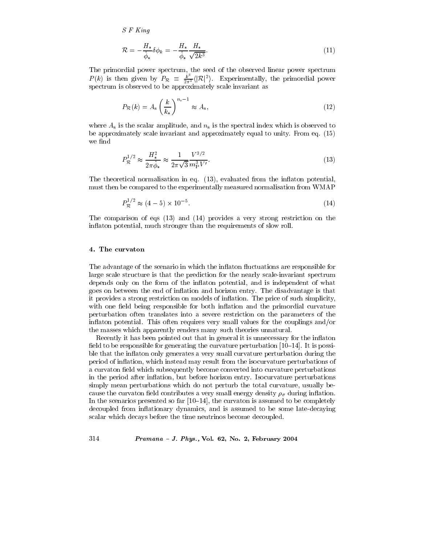$S$   $F$   $King$ 

$$
\mathcal{R} = -\frac{H_*}{\dot{\phi}_*} \delta \phi_k = -\frac{H_*}{\dot{\phi}_*} \frac{H_*}{\sqrt{2k^3}}.
$$
\n(11)

The primordial power spectrum, the seed of the observed linear power spectrum  $P(k)$  is then given by  $P_{\mathcal{R}} \equiv \frac{k^3}{2\pi^2} \langle |\mathcal{R}|^2 \rangle$ . Experimentally, the primordial power spectrum is observed to be approximately scale invariant as

$$
P_{\mathcal{R}}(k) = A_{\rm s} \left(\frac{k}{k_*}\right)^{n_{\rm s}-1} \approx A_{\rm s},\tag{12}
$$

where  $A_s$  is the scalar amplitude, and  $n_s$  is the spectral index which is observed to be approximately scale invariant and approximately equal to unity. From eq. (15) we find

$$
P_{\mathcal{R}}^{1/2} \approx \frac{H_*^2}{2\pi \dot{\phi}_*} \approx \frac{1}{2\pi\sqrt{3}} \frac{V^{3/2}}{m_{\rm P}^3 V'}.\tag{13}
$$

The theoretical normalisation in eq. (13), evaluated from the inflaton potential, must then be compared to the experimentally measured normalisation from WMAP

$$
P_R^{1/2} \approx (4-5) \times 10^{-5}.\tag{14}
$$

The comparison of eqs  $(13)$  and  $(14)$  provides a very strong restriction on the inflaton potential, much stronger than the requirements of slow roll.

### 4. The curvaton

The advantage of the scenario in which the inflaton fluctuations are responsible for large scale structure is that the prediction for the nearly scale-invariant spectrum depends only on the form of the inflaton potential, and is independent of what goes on between the end of inflation and horizon entry. The disadvantage is that it provides a strong restriction on models of inflation. The price of such simplicity, with one field being responsible for both inflation and the primordial curvature perturbation often translates into a severe restriction on the parameters of the inflaton potential. This often requires very small values for the couplings and/or the masses which apparently renders many such theories unnatural.

Recently it has been pointed out that in general it is unnecessary for the inflaton field to be responsible for generating the curvature perturbation  $[10-14]$ . It is possible that the inflaton only generates a very small curvature perturbation during the period of inflation, which instead may result from the isocurvature perturbations of a curvation field which subsequently become converted into curvature perturbations in the period after inflation, but before horizon entry. Isocurvature perturbations simply mean perturbations which do not perturb the total curvature, usually because the curvaton field contributes a very small energy density  $\rho_{\sigma}$  during inflation. In the scenarios presented so far  $[10-14]$ , the curvation is assumed to be completely decoupled from inflationary dynamics, and is assumed to be some late-decaying scalar which decays before the time neutrinos become decoupled.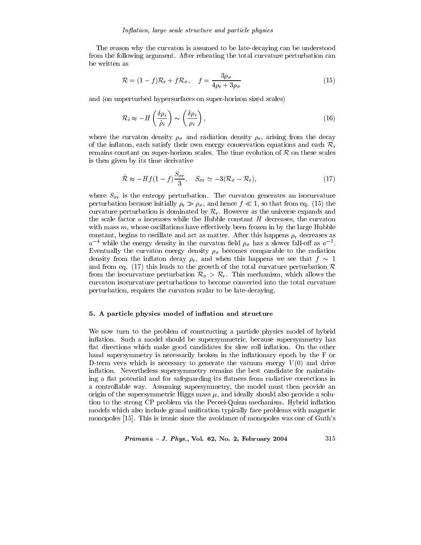The reason why the curvaton is assumed to be late-decaying can be understood from the following argument. After reheating the total curvature perturbation can be written as

$$
\mathcal{R} = (1 - f)\mathcal{R}_{\rm r} + f\mathcal{R}_{\sigma}, \quad f = \frac{3\rho_{\sigma}}{4\rho_{\rm r} + 3\rho_{\sigma}} \tag{15}
$$

and (on unperturbed hypersurfaces on super-horizon sized scales)

$$
\mathcal{R}_i \approx -H\left(\frac{\delta\rho_i}{\dot{\rho}_i}\right) \sim \left(\frac{\delta\rho_i}{\rho_i}\right),\tag{16}
$$

where the curvaton density  $\rho_{\sigma}$  and radiation density  $\rho_{r}$ , arising from the decay of the inflaton, each satisfy their own energy conservation equations and each  $\mathcal{R}_i$ remains constant on super-horizon scales. The time evolution of  $R$  on these scales is then given by its time derivative

$$
\dot{\mathcal{R}} \approx -Hf(1-f)\frac{S_{\sigma r}}{3}, \quad S_{\sigma r} \simeq -3(\mathcal{R}_{\sigma} - \mathcal{R}_{r}), \tag{17}
$$

where  $S_{\sigma r}$  is the entropy perturbation. The curvaton generates an isocurvature perturbation because initially  $\rho_r \gg \rho_\sigma$ , and hence  $f \ll 1$ , so that from eq. (15) the curvature perturbation is dominated by  $\mathcal{R}_{r}$ . However as the universe expands and the scale factor  $a$  increases while the Hubble constant  $H$  decreases, the curvator with mass  $m$ , whose oscillations have effectively been frozen in by the large Hubble constant, begins to oscillate and act as matter. After this happens  $\rho_r$  decreases as  $a^{-4}$  while the energy density in the curvation field  $\rho_{\sigma}$  has a slower fall-off as  $a^{-3}$ . Eventually the curvaton energy density  $\rho_{\sigma}$  becomes comparable to the radiation density from the inflaton decay  $\rho_r$ , and when this happens we see that  $f \sim 1$ and from eq. (17) this leads to the growth of the total curvature perturbation R from the isocurvature perturbation  $\mathcal{R}_{\sigma} > \mathcal{R}_{r}$ . This mechanism, which allows the curvaton isocurvature perturbations to become converted into the total curvature perturbation, requires the curvaton scalar to be late-decaying.

### 5. A particle physics model of inflation and structure

We now turn to the problem of constructing a particle physics model of hybrid inflation. Such a model should be supersymmetric, because supersymmetry has flat directions which make good candidates for slow roll inflation. On the other hand supersymmetry is necessarily broken in the inflationary epoch by the F or D-term vevs which is necessary to generate the vacuum energy  $V(0)$  and drive inflation. Nevertheless supersymmetry remains the best candidate for maintaining a flat potential and for safeguarding its flatness from radiative corrections in a controllable way. Assuming supersymmetry, the model must then provide an origin of the supersymmetric Higgs mass  $\mu$ , and ideally should also provide a solution to the strong CP problem via the Peccei-Quinn mechanism. Hybrid inflation models which also include grand unification typically face problems with magnetic monopoles [15]. This is ironic since the avoidance of monopoles was one of Guth's

$$
Pramana - J. Phys., Vol. 62, No. 2, February 2004 \qquad \qquad 315
$$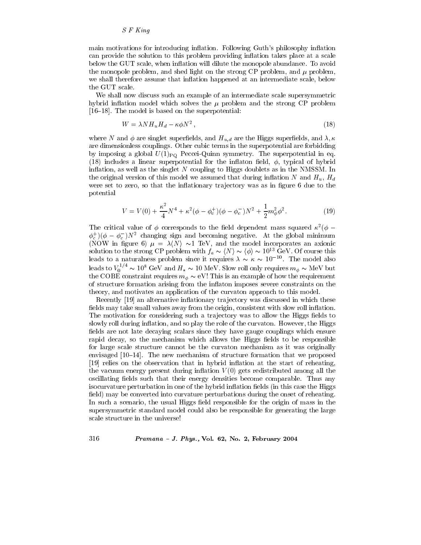### $S$   $F$   $King$

main motivations for introducing inflation. Following Guth's philosophy inflation can provide the solution to this problem providing inflation takes place at a scale below the GUT scale, when inflation will dilute the monopole abundance. To avoid the monopole problem, and shed light on the strong CP problem, and  $\mu$  problem, we shall therefore assume that inflation happened at an intermediate scale, below the GUT scale.

We shall now discuss such an example of an intermediate scale supersymmetric hybrid inflation model which solves the  $\mu$  problem and the strong CP problem  $[16-18]$ . The model is based on the superpotential:

$$
W = \lambda N H_u H_d - \kappa \phi N^2, \qquad (18)
$$

where N and  $\phi$  are singlet superfields, and  $H_{u,d}$  are the Higgs superfields, and  $\lambda, \kappa$ are dimensionless couplings. Other cubic terms in the superpotential are forbidding by imposing a global  $U(1)_{\text{PO}}$  Peccei-Quinn symmetry. The superpotential in eq. (18) includes a linear superpotential for the inflaton field,  $\phi$ , typical of hybrid inflation, as well as the singlet  $N$  coupling to Higgs doublets as in the NMSSM. In the original version of this model we assumed that during inflation N and  $H_u$ ,  $H_d$ were set to zero, so that the inflationary trajectory was as in figure 6 due to the potential

$$
V = V(0) + \frac{\kappa^2}{4}N^4 + \kappa^2(\phi - \phi_c^+) (\phi - \phi_c^-)N^2 + \frac{1}{2}m_\phi^2 \phi^2.
$$
 (19)

The critical value of  $\phi$  corresponds to the field dependent mass squared  $\kappa^2(\phi \phi_c^+$ )( $\phi - \phi_c^-$ )N<sup>2</sup> changing sign and becoming negative. At the global minimum (NOW in figure 6)  $\mu = \lambda \langle N \rangle \sim 1$  TeV, and the model incorporates an axionic<br>solution to the strong CP problem with  $f_a \sim \langle N \rangle \sim \langle \phi \rangle \sim 10^{13}$  GeV. Of course this<br>leads to a naturalness problem since it requires  $\lambda \sim \$ leads to  $V_0^{1/4} \sim 10^8$  GeV and  $H_* \sim 10$  MeV. Slow roll only requires  $m_\phi \sim \text{MeV}$  but the COBE constraint requires  $m_{\phi} \sim \text{eV}!$  This is an example of how the requirement of structure formation arising from the inflaton imposes severe constraints on the theory, and motivates an application of the curvaton approach to this model.

Recently [19] an alternative inflationary trajectory was discussed in which these fields may take small values away from the origin, consistent with slow roll inflation. The motivation for considering such a trajectory was to allow the Higgs fields to slowly roll during inflation, and so play the role of the curvaton. However, the Higgs fields are not late decaying scalars since they have gauge couplings which ensure rapid decay, so the mechanism which allows the Higgs fields to be responsible for large scale structure cannot be the curvaton mechanism as it was originally envisaged  $[10-14]$ . The new mechanism of structure formation that we proposed [19] relies on the observation that in hybrid inflation at the start of reheating, the vacuum energy present during inflation  $V(0)$  gets redistributed among all the oscillating fields such that their energy densities become comparable. Thus any isocurvature perturbation in one of the hybrid inflation fields (in this case the Higgs field) may be converted into curvature perturbations during the onset of reheating. In such a scenario, the usual Higgs field responsible for the origin of mass in the supersymmetric standard model could also be responsible for generating the large scale structure in the universe!

 $Pramana - J. Phys., Vol. 62, No. 2, February 2004$ 

316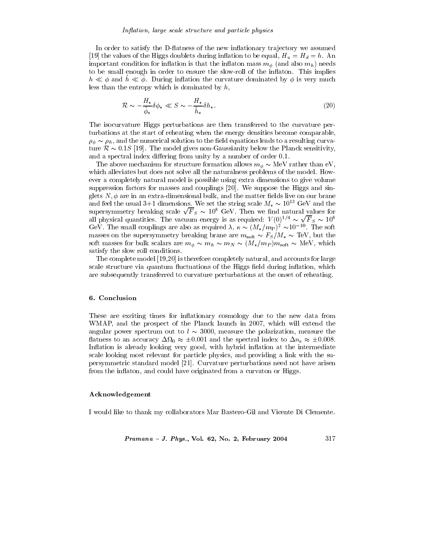### Inflation, large scale structure and particle physics

In order to satisfy the D-flatness of the new inflationary trajectory we assumed [19] the values of the Higgs doublets during inflation to be equal,  $H_u = H_d = h$ . An important condition for inflation is that the inflation mass  $m_{\phi}$  (and also  $m_h$ ) needs to be small enough in order to ensure the slow-roll of the inflaton. This implies  $h \ll \phi$  and  $h \ll \phi$ . During inflation the curvature dominated by  $\phi$  is very much less than the entropy which is dominated by  $h$ ,

$$
\mathcal{R} \sim -\frac{H_*}{\dot{\phi}_*} \delta \phi_* \ll S \sim -\frac{H_*}{\dot{h}_*} \delta h_*.
$$
\n(20)

The isocurvature Higgs perturbations are then transferred to the curvature perturbations at the start of reheating when the energy densities become comparable,  $\rho_{\phi} \sim \rho_{h}$ , and the numerical solution to the field equations leads to a resulting curvature  $\mathcal{R} \sim 0.1S$  [19]. The model gives non-Gaussianity below the Planck sensitivity, and a spectral index differing from unity by a number of order 0.1.

The above mechanism for structure formation allows  $m_{\phi} \sim \text{MeV}$  rather than eV, which alleviates but does not solve all the naturalness problems of the model. However a completely natural model is possible using extra dimensions to give volume suppression factors for masses and couplings [20]. We suppose the Higgs and singlets  $N, \phi$  are in an extra-dimensional bulk, and the matter fields live on our brane and feel the usual 3+1 dimensions. We set the string scale  $M_* \sim 10^{13}$  GeV and the supersymmetry breaking scale  $\sqrt{F}_S \sim 10^8$  GeV. Then we find natural values for all physical quantities. The vacuum energy is as required:  $V(0)^{1/4} \sim \sqrt{F}_S \sim 10^8$ GeV. The small couplings are also as required  $\lambda$ ,  $\kappa \sim (M_*/m_{\rm P})^2 \sim 10^{-10}$ . The soft masses on the supersymmetry breaking brane are  $m_{soft} \sim F_S/M_* \sim \text{TeV}$ , but the soft masses for bulk scalars are  $m_{\phi} \sim m_h \sim m_N \sim (M_*/m_P) m_{\text{soft}} \sim \text{MeV}$ , which satisfy the slow roll conditions.

The complete model [19,20] is therefore completely natural, and accounts for large scale structure via quantum fluctuations of the Higgs field during inflation, which are subsequently transferred to curvature perturbations at the onset of reheating.

### 6. Conclusion

These are exciting times for inflationary cosmology due to the new data from WMAP, and the prospect of the Planck launch in 2007, which will extend the angular power spectrum out to  $l \sim 3000$ , measure the polarization, measure the flatness to an accuracy  $\Delta\Omega_0 \approx \pm 0.001$  and the spectral index to  $\Delta n_s \approx \pm 0.008$ . Inflation is already looking very good, with hybrid inflation at the intermediate scale looking most relevant for particle physics, and providing a link with the supersymmetric standard model [21]. Curvature perturbations need not have arisen from the inflaton, and could have originated from a curvaton or Higgs.

### Acknowledgement

I would like to thank my collaborators Mar Bastero-Gil and Vicente Di Clemente.